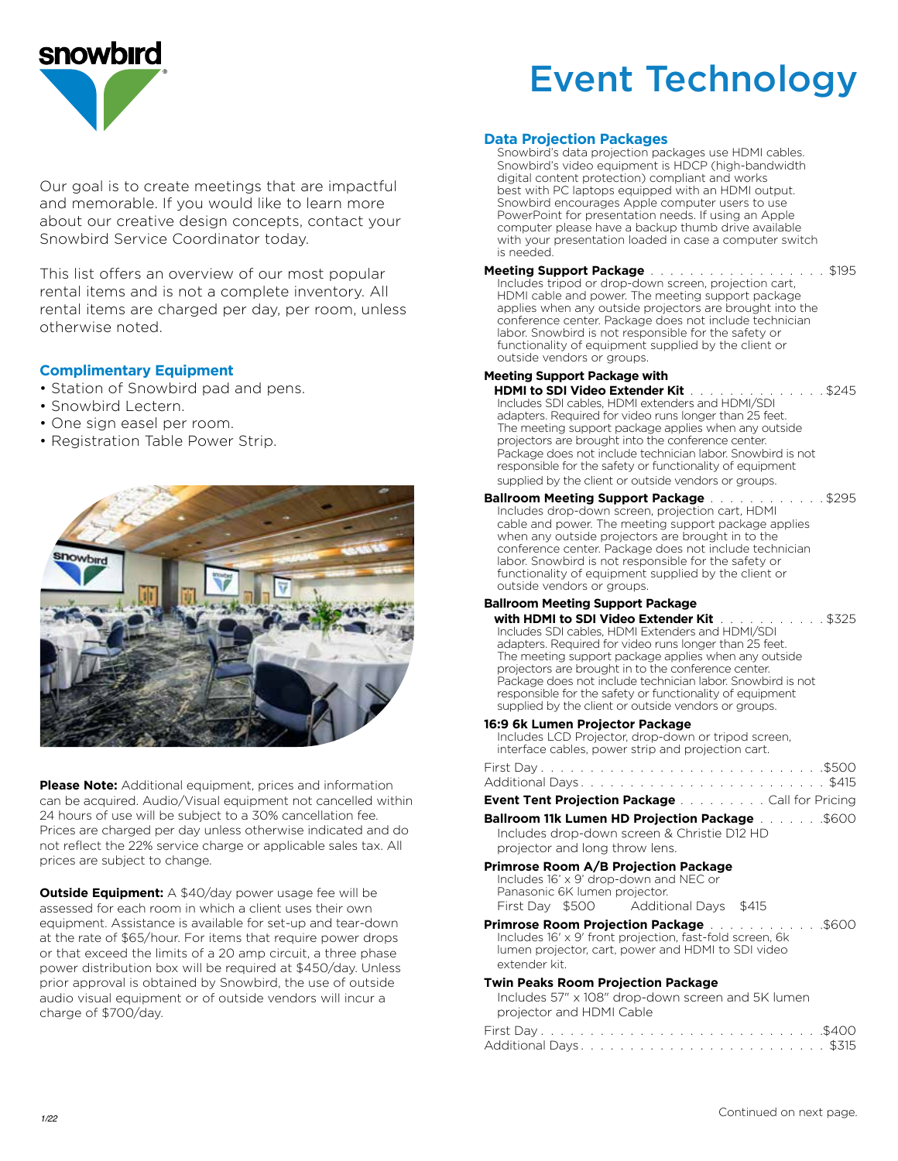

# Event Technology

Our goal is to create meetings that are impactful and memorable. If you would like to learn more about our creative design concepts, contact your Snowbird Service Coordinator today.

This list offers an overview of our most popular rental items and is not a complete inventory. All rental items are charged per day, per room, unless otherwise noted.

## **Complimentary Equipment**

- Station of Snowbird pad and pens.
- Snowbird Lectern.
- One sign easel per room.
- Registration Table Power Strip.



**Please Note:** Additional equipment, prices and information can be acquired. Audio/Visual equipment not cancelled within 24 hours of use will be subject to a 30% cancellation fee. Prices are charged per day unless otherwise indicated and do not reflect the 22% service charge or applicable sales tax. All prices are subject to change.

**Outside Equipment:** A \$40/day power usage fee will be assessed for each room in which a client uses their own equipment. Assistance is available for set-up and tear-down at the rate of \$65/hour. For items that require power drops or that exceed the limits of a 20 amp circuit, a three phase power distribution box will be required at \$450/day. Unless prior approval is obtained by Snowbird, the use of outside audio visual equipment or of outside vendors will incur a charge of \$700/day.

#### **Data Projection Packages**

Snowbird's data projection packages use HDMI cables. Snowbird's video equipment is HDCP (high-bandwidth digital content protection) compliant and works best with PC laptops equipped with an HDMI output. Snowbird encourages Apple computer users to use PowerPoint for presentation needs. If using an Apple computer please have a backup thumb drive available with your presentation loaded in case a computer switch is needed.

## **Meeting Support Package** . . . . . . . . . . . . . . . . . . \$195 Includes tripod or drop-down screen, projection cart,

HDMI cable and power. The meeting support package applies when any outside projectors are brought into the conference center. Package does not include technician labor. Snowbird is not responsible for the safety or functionality of equipment supplied by the client or outside vendors or groups.

## **Meeting Support Package with**

 **HDMI to SDI Video Extender Kit** . . . . . . . . . . . . . \$245 Includes SDI cables, HDMI extenders and HDMI/SDI adapters. Required for video runs longer than 25 feet. The meeting support package applies when any outside projectors are brought into the conference center. Package does not include technician labor. Snowbird is not responsible for the safety or functionality of equipment supplied by the client or outside vendors or groups.

#### **Ballroom Meeting Support Package** . . . . . . . . . . . . \$295 Includes drop-down screen, projection cart, HDMI cable and power. The meeting support package applies when any outside projectors are brought in to the conference center. Package does not include technician labor. Snowbird is not responsible for the safety or functionality of equipment supplied by the client or outside vendors or groups.

## **Ballroom Meeting Support Package**

**with HDMI to SDI Video Extender Kit** . . . . . . . . . . . \$325 Includes SDI cables, HDMI Extenders and HDMI/SDI adapters. Required for video runs longer than 25 feet. The meeting support package applies when any outside projectors are brought in to the conference center. Package does not include technician labor. Snowbird is not responsible for the safety or functionality of equipment supplied by the client or outside vendors or groups.

#### **16:9 6k Lumen Projector Package**

Includes LCD Projector, drop-down or tripod screen, interface cables, power strip and projection cart.

### **Event Tent Projection Package** . . . . . . . . . Call for Pricing

**Ballroom 11k Lumen HD Projection Package . . . . . . . . \$600** Includes drop-down screen & Christie D12 HD

## projector and long throw lens.

**Primrose Room A/B Projection Package** Includes 16' x 9' drop-down and NEC or Panasonic 6K lumen projector. First Day \$500 Additional Days \$415

#### **Primrose Room Projection Package** . . . . . . . . . . . . \$600 Includes 16' x 9' front projection, fast-fold screen, 6k lumen projector, cart, power and HDMI to SDI video extender kit.

#### **Twin Peaks Room Projection Package**

| Includes 57" x 108" drop-down screen and 5K lumen |  |  |  |  |  |  |  |  |  |  |  |  |
|---------------------------------------------------|--|--|--|--|--|--|--|--|--|--|--|--|
| projector and HDMI Cable                          |  |  |  |  |  |  |  |  |  |  |  |  |
|                                                   |  |  |  |  |  |  |  |  |  |  |  |  |
|                                                   |  |  |  |  |  |  |  |  |  |  |  |  |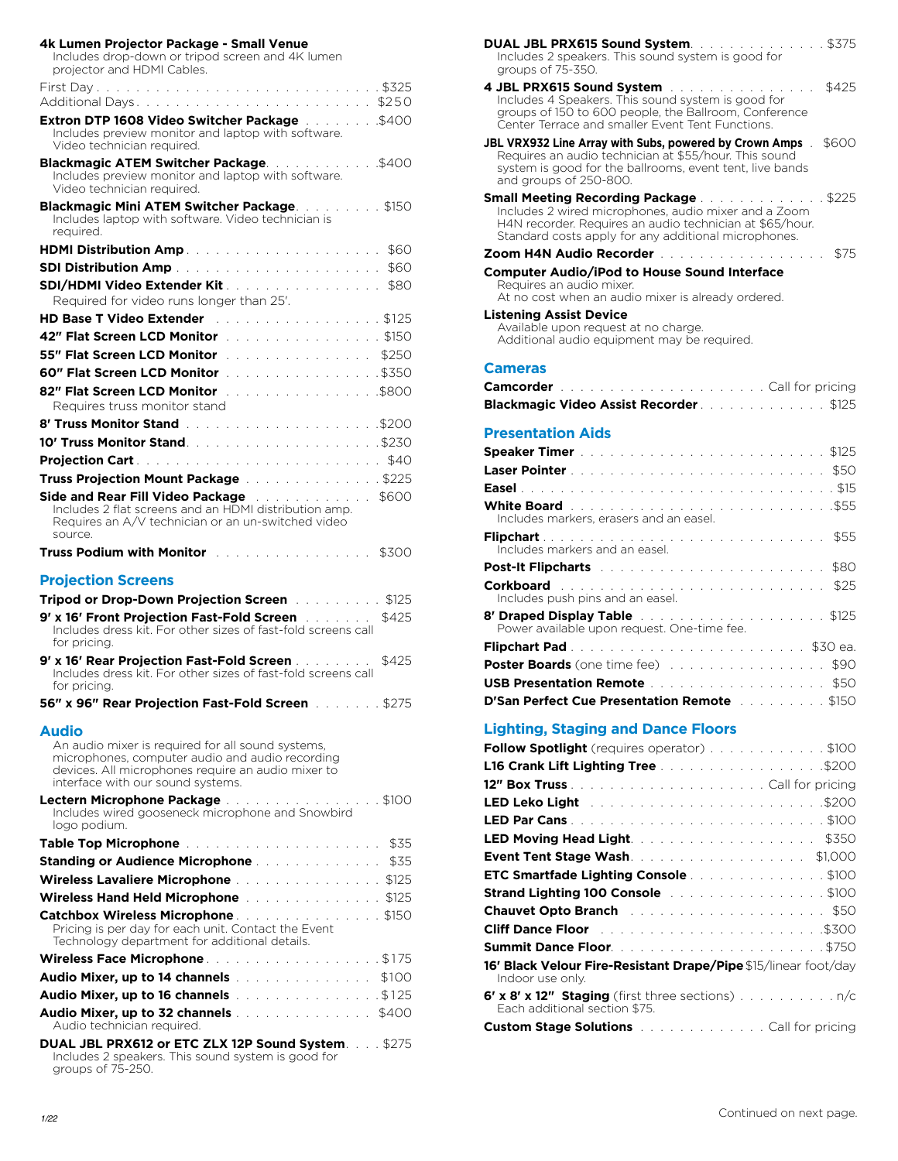| 4k Lumen Projector Package - Small Venue<br>Includes drop-down or tripod screen and 4K lumen<br>projector and HDMI Cables.                                                                                                                 |  |
|--------------------------------------------------------------------------------------------------------------------------------------------------------------------------------------------------------------------------------------------|--|
|                                                                                                                                                                                                                                            |  |
| Extron DTP 1608 Video Switcher Package \$400<br>Includes preview monitor and laptop with software.<br>Video technician required.                                                                                                           |  |
| Blackmagic ATEM Switcher Package\$400<br>Includes preview monitor and laptop with software.<br>Video technician required.                                                                                                                  |  |
| Blackmagic Mini ATEM Switcher Package. \$150<br>Includes laptop with software. Video technician is<br>reauired.                                                                                                                            |  |
| <b>HDMI Distribution Amp.</b> And a series and a series of the series of the series of the series of the series of the series of the series of the series of the series of the series of the series of the series of the series of<br>\$60 |  |
| <b>SDI Distribution Amp Allen and Allen and Allen and Allen and Allen and Allen and Allen and Allen and Allen</b><br>\$60                                                                                                                  |  |
| <b>SDI/HDMI Video Extender Kit</b><br>Required for video runs longer than 25'.                                                                                                                                                             |  |
| <b>HD Base T Video Extender</b><br>. \$125                                                                                                                                                                                                 |  |
| 42" Flat Screen LCD Monitor entertainment and \$150                                                                                                                                                                                        |  |
| 55" Flat Screen LCD Monitor entertainment and \$250                                                                                                                                                                                        |  |
|                                                                                                                                                                                                                                            |  |
| 82" Flat Screen LCD Monitor \$800<br>Requires truss monitor stand                                                                                                                                                                          |  |
|                                                                                                                                                                                                                                            |  |
|                                                                                                                                                                                                                                            |  |
| \$40                                                                                                                                                                                                                                       |  |
| Truss Projection Mount Package \$225                                                                                                                                                                                                       |  |
| Side and Rear Fill Video Package Allendamery and Allendamery<br>\$600<br>Includes 2 flat screens and an HDMI distribution amp.<br>Requires an A/V technician or an un-switched video<br>source.                                            |  |
| Truss Podium with Monitor and a subsequently research<br>\$300                                                                                                                                                                             |  |
| <b>Projection Screens</b><br><b>Tripod or Drop-Down Projection Screen Figure 1.1 1.1 1.1 1.1 \$125</b>                                                                                                                                     |  |
| 9' x 16' Front Projection Fast-Fold Screen [11] Links<br>\$425<br>Includes dress kit. For other sizes of fast-fold screens call                                                                                                            |  |
| for pricing.<br>9' x 16' Rear Projection Fast-Fold Screen Alleman Allen<br>\$425<br>Includes dress kit. For other sizes of fast-fold screens call                                                                                          |  |
| for pricing.                                                                                                                                                                                                                               |  |
| <b>Audio</b>                                                                                                                                                                                                                               |  |
| An audio mixer is required for all sound systems,<br>microphones, computer audio and audio recording<br>devices. All microphones require an audio mixer to<br>interface with our sound systems.                                            |  |
| Lectern Microphone Package \$100<br>Includes wired gooseneck microphone and Snowbird<br>logo podium.                                                                                                                                       |  |
| Table Top Microphone <b>Experience International Properties</b><br>\$35                                                                                                                                                                    |  |
| <b>Standing or Audience Microphone Advanced Authority Standing or Audience Microphone Advanced Authority</b><br>\$35                                                                                                                       |  |
| Wireless Lavaliere Microphone \$125                                                                                                                                                                                                        |  |
| Wireless Hand Held Microphone \$125                                                                                                                                                                                                        |  |
| Catchbox Wireless Microphone. \$150                                                                                                                                                                                                        |  |
| Pricing is per day for each unit. Contact the Event<br>Technology department for additional details.                                                                                                                                       |  |
| Wireless Face Microphone. \$175                                                                                                                                                                                                            |  |
| <b>Audio Mixer, up to 14 channels</b> and a substitution of the <b>Audio Mixer, up to 14 channels</b><br>\$100                                                                                                                             |  |
| <b>Audio Mixer, up to 16 channels</b> and a series of the \$125                                                                                                                                                                            |  |
| <b>Audio Mixer, up to 32 channels</b> \$400<br>Audio technician required.                                                                                                                                                                  |  |
| DUAL JBL PRX612 or ETC ZLX 12P Sound System\$275<br>Includes 2 speakers. This sound system is good for<br>groups of 75-250.                                                                                                                |  |

| DUAL JBL PRX615 Sound System. \$375<br>Includes 2 speakers. This sound system is good for                                                                                                                                                                                                                                                                                                                  |
|------------------------------------------------------------------------------------------------------------------------------------------------------------------------------------------------------------------------------------------------------------------------------------------------------------------------------------------------------------------------------------------------------------|
| groups of 75-350.                                                                                                                                                                                                                                                                                                                                                                                          |
| 4 JBL PRX615 Sound System Alberta and Alberta Alberta and Alberta Alberta Alberta Alberta Alberta Alberta Alberta Alberta Alberta Alberta Alberta Alberta Alberta Alberta Alberta Alberta Alberta Alberta Alberta Alberta Albe<br>\$425<br>Includes 4 Speakers. This sound system is good for<br>groups of 150 to 600 people, the Ballroom, Conference<br>Center Terrace and smaller Event Tent Functions. |
| <b>JBL VRX932 Line Array with Subs, powered by Crown Amps</b><br>\$600<br>Requires an audio technician at \$55/hour. This sound<br>system is good for the ballrooms, event tent, live bands<br>and groups of 250-800.                                                                                                                                                                                      |
| <b>Small Meeting Recording Package Manual Action Act 3225</b><br>Includes 2 wired microphones, audio mixer and a Zoom<br>H4N recorder. Requires an audio technician at \$65/hour.<br>Standard costs apply for any additional microphones.                                                                                                                                                                  |
| Zoom H4N Audio Recorder<br>\$75<br>and a resource of the control of the                                                                                                                                                                                                                                                                                                                                    |
| Computer Audio/iPod to House Sound Interface<br>Requires an audio mixer.<br>At no cost when an audio mixer is already ordered.                                                                                                                                                                                                                                                                             |
| <b>Listening Assist Device</b>                                                                                                                                                                                                                                                                                                                                                                             |
| Available upon request at no charge.<br>Additional audio equipment may be required.                                                                                                                                                                                                                                                                                                                        |
| <b>Cameras</b>                                                                                                                                                                                                                                                                                                                                                                                             |
|                                                                                                                                                                                                                                                                                                                                                                                                            |
| Blackmagic Video Assist Recorder. \$125                                                                                                                                                                                                                                                                                                                                                                    |
| <b>Presentation Aids</b>                                                                                                                                                                                                                                                                                                                                                                                   |
|                                                                                                                                                                                                                                                                                                                                                                                                            |
|                                                                                                                                                                                                                                                                                                                                                                                                            |
|                                                                                                                                                                                                                                                                                                                                                                                                            |
|                                                                                                                                                                                                                                                                                                                                                                                                            |
| Includes markers, erasers and an easel.                                                                                                                                                                                                                                                                                                                                                                    |
| \$55<br>Includes markers and an easel.                                                                                                                                                                                                                                                                                                                                                                     |
| Post-It Flipcharts and a construction of the construction of<br>\$80                                                                                                                                                                                                                                                                                                                                       |
| Corkboard <b>Experience International Corkboard</b><br>\$25<br>Includes push pins and an easel.                                                                                                                                                                                                                                                                                                            |
| 8' Draped Display Table \$125<br>Power available upon request. One-time fee.                                                                                                                                                                                                                                                                                                                               |
| <b>Flipchart Pad.</b>                                                                                                                                                                                                                                                                                                                                                                                      |
| <b>Poster Boards</b> (one time fee)<br>\$90                                                                                                                                                                                                                                                                                                                                                                |
| \$50<br><b>USB Presentation Remote</b>                                                                                                                                                                                                                                                                                                                                                                     |
| D'San Perfect Cue Presentation Remote [11] Language S150                                                                                                                                                                                                                                                                                                                                                   |
| <b>Lighting, Staging and Dance Floors</b>                                                                                                                                                                                                                                                                                                                                                                  |
| Follow Spotlight (requires operator) \$100                                                                                                                                                                                                                                                                                                                                                                 |
| L16 Crank Lift Lighting Tree \$200                                                                                                                                                                                                                                                                                                                                                                         |
|                                                                                                                                                                                                                                                                                                                                                                                                            |
|                                                                                                                                                                                                                                                                                                                                                                                                            |
|                                                                                                                                                                                                                                                                                                                                                                                                            |
| LED Moving Head Light. The company of the Moving of<br>\$350                                                                                                                                                                                                                                                                                                                                               |
| Event Tent Stage Wash. \$1,000                                                                                                                                                                                                                                                                                                                                                                             |
| ETC Smartfade Lighting Console \$100                                                                                                                                                                                                                                                                                                                                                                       |
|                                                                                                                                                                                                                                                                                                                                                                                                            |

**Strand Lighting 100 Console** . . . . . . . . . . . . . . . . \$100 **Chauvet Opto Branch** . \$50 **Cliff Dance Floor** . \$300 **Summit Dance Floor** . \$750 **16' Black Velour Fire-Resistant Drape/Pipe**\$15/linear foot/day

**6' x 8' x 12" Staging** (first three sections) . . . . . . . . . . n/c

**Custom Stage Solutions** . . . . . . . . . . . . . . Call for pricing

Indoor use only.

Each additional section \$75.